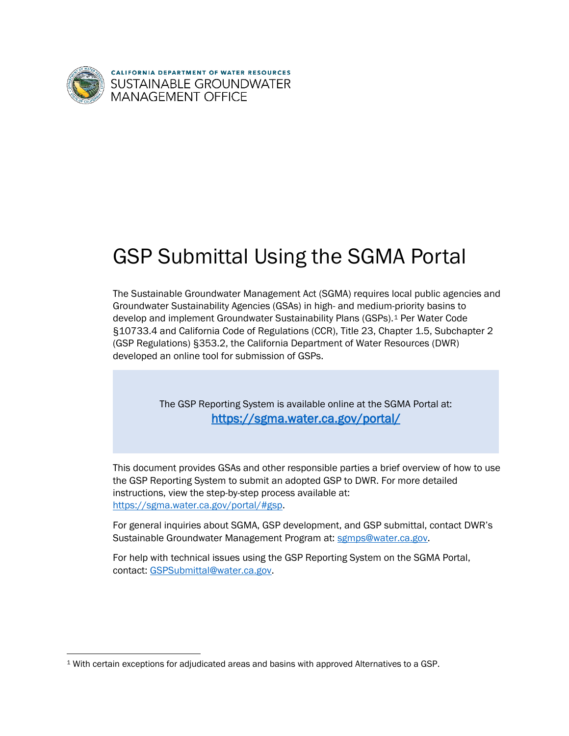

**CALIFORNIA DEPARTMENT OF WATER RESOURCES SUSTAINABLE GROUNDWATER** MANAGEMENT OFFICE

# GSP Submittal Using the SGMA Portal

The Sustainable Groundwater Management Act (SGMA) requires local public agencies and Groundwater Sustainability Agencies (GSAs) in high- and medium-priority basins to develop and implement Groundwater Sustainability Plans (GSPs).[1](#page-0-0) Per Water Code §10733.4 and California Code of Regulations (CCR), Title 23, Chapter 1.5, Subchapter 2 (GSP Regulations) §353.2, the California Department of Water Resources (DWR) developed an online tool for submission of GSPs.

> The GSP Reporting System is available online at the SGMA Portal at: <https://sgma.water.ca.gov/portal/>

This document provides GSAs and other responsible parties a brief overview of how to use the GSP Reporting System to submit an adopted GSP to DWR. For more detailed instructions, view the step-by-step process available at: [https://sgma.water.ca.gov/portal/#gsp.](https://sgma.water.ca.gov/portal/#gsp)

For general inquiries about SGMA, GSP development, and GSP submittal, contact DWR's Sustainable Groundwater Management Program at: [sgmps@water.ca.gov.](mailto:sgmps@water.ca.gov)

For help with technical issues using the GSP Reporting System on the SGMA Portal, contact: [GSPSubmittal@water.ca.gov.](mailto:GSPSubmittal@water.ca.gov)

<span id="page-0-0"></span> <sup>1</sup> With certain exceptions for adjudicated areas and basins with approved Alternatives to a GSP.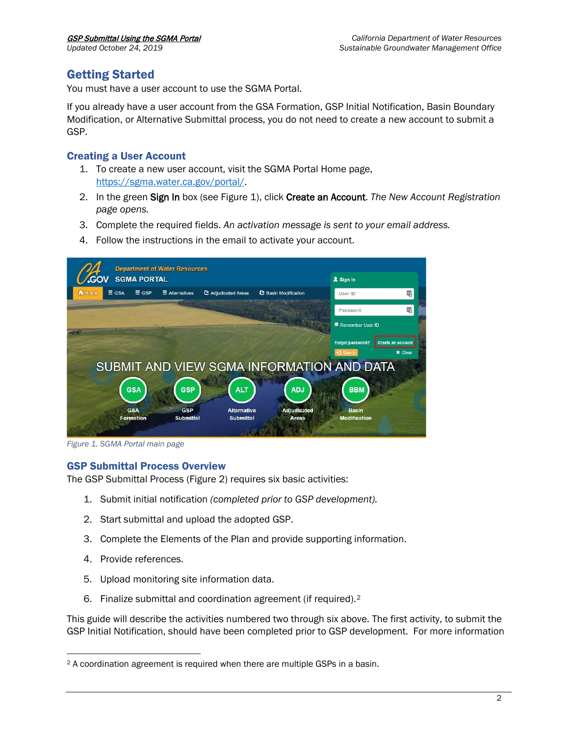# Getting Started

You must have a user account to use the SGMA Portal.

If you already have a user account from the GSA Formation, GSP Initial Notification, Basin Boundary Modification, or Alternative Submittal process, you do not need to create a new account to submit a GSP.

### Creating a User Account

- 1. To create a new user account, visit the SGMA Portal Home page, [https://sgma.water.ca.gov/portal/.](https://sgma.water.ca.gov/portal/)
- 2. In the green Sign In box (see Figure 1), click Create an Account. *The New Account Registration page opens.*
- 3. Complete the required fields. *An activation message is sent to your email address.*
- 4. Follow the instructions in the email to activate your account.



*Figure 1. SGMA Portal main page*

### GSP Submittal Process Overview

The GSP Submittal Process (Figure 2) requires six basic activities:

- 1. Submit initial notification *(completed prior to GSP development).*
- 2. Start submittal and upload the adopted GSP.
- 3. Complete the Elements of the Plan and provide supporting information.
- 4. Provide references.
- 5. Upload monitoring site information data.
- 6. Finalize submittal and coordination agreement (if required).[2](#page-1-0)

This guide will describe the activities numbered two through six above. The first activity, to submit the GSP Initial Notification, should have been completed prior to GSP development. For more information

<span id="page-1-0"></span> <sup>2</sup> A coordination agreement is required when there are multiple GSPs in a basin.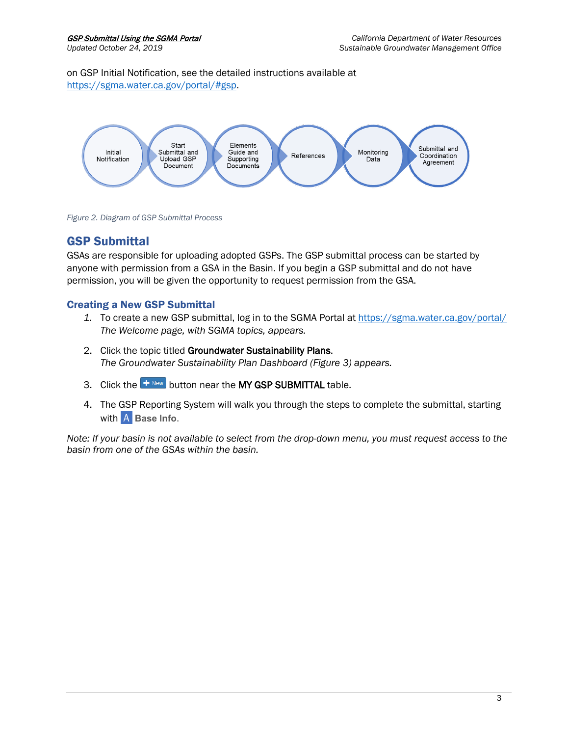on GSP Initial Notification, see the detailed instructions available at [https://sgma.water.ca.gov/portal/#gsp.](https://sgma.water.ca.gov/portal/#gsp)



*Figure 2. Diagram of GSP Submittal Process*

# GSP Submittal

GSAs are responsible for uploading adopted GSPs. The GSP submittal process can be started by anyone with permission from a GSA in the Basin. If you begin a GSP submittal and do not have permission, you will be given the opportunity to request permission from the GSA.

# Creating a New GSP Submittal

- *1.* To create a new GSP submittal, log in to the SGMA Portal at <https://sgma.water.ca.gov/portal/> *The Welcome page, with SGMA topics, appears.*
- 2. Click the topic titled Groundwater Sustainability Plans. *The Groundwater Sustainability Plan Dashboard (Figure 3) appears.*
- 3. Click the  $\left| \frac{1}{2} \right|$  button near the MY GSP SUBMITTAL table.
- 4. The GSP Reporting System will walk you through the steps to complete the submittal, starting with A Base Info.

*Note: If your basin is not available to select from the drop-down menu, you must request access to the basin from one of the GSAs within the basin.*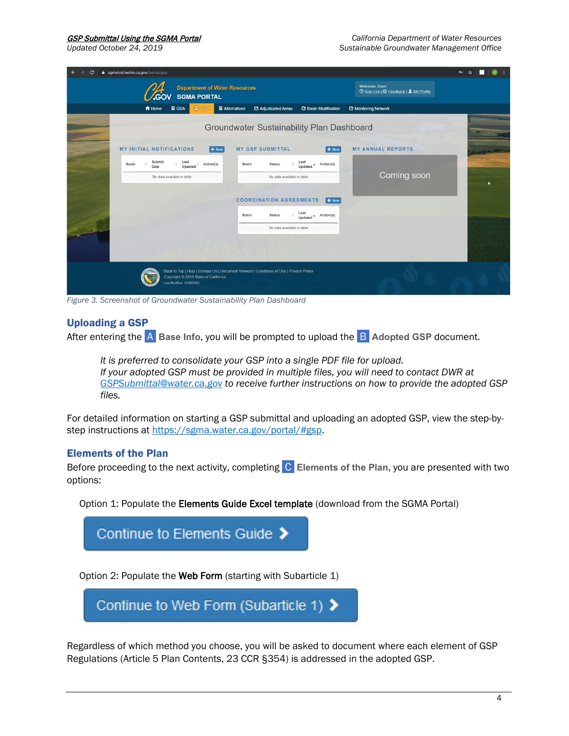| sgmatest.water.ca.gov/portal/gsp<br>C                                     |                                                                                         |                                                          | 0 ☆ |
|---------------------------------------------------------------------------|-----------------------------------------------------------------------------------------|----------------------------------------------------------|-----|
| <b>Department of Water Resources</b><br><b>SGMA PORTAL</b><br><b>CGOV</b> |                                                                                         | Welcome, User!<br>O Sign Out   G Feedback   1 My Profile |     |
| A Home<br>$\equiv$ GSA<br>$\equiv$ GSP                                    | $\equiv$ Alternatives<br><b>2</b> Adjudicated Areas<br><b>2</b> Basin Modification      | <b>C</b> Monitoring Network                              |     |
|                                                                           | Groundwater Sustainability Plan Dashboard                                               |                                                          |     |
| <b>MY INITIAL NOTIFICATIONS</b><br>$+$ New                                | <b>MY GSP SUBMITTAL</b><br>$+$ New                                                      | <b>MY ANNUAL REPORTS</b>                                 |     |
| Submit<br>Last<br><b>Basin</b><br>Action(s)<br>Updated<br>Date            | Last<br>Updated <b>v</b> Action(s)<br><b>Basin</b><br><b>Status</b>                     |                                                          |     |
| No data available in table                                                | No data available in table                                                              | Coming soon                                              |     |
|                                                                           | <b>COORDINATION AGREEMENTS</b><br>$+$ New                                               |                                                          |     |
|                                                                           | Last<br><b>Basin</b><br>Action(s)<br><b>Status</b><br>Updated <sup>v</sup>              |                                                          |     |
|                                                                           | No data available in table                                                              |                                                          |     |
|                                                                           |                                                                                         |                                                          |     |
| Copyright © 2019 State of California<br>Last Modified: 10/08/2015         | Back to Top   Help   Contact Us   Document Viewers   Conditions of Use   Privacy Policy |                                                          |     |

*Figure 3. Screenshot of Groundwater Sustainability Plan Dashboard*

#### Uploading a GSP

After entering the **A.** Base Info, you will be prompted to upload the **B.** Adopted GSP document.

*It is preferred to consolidate your GSP into a single PDF file for upload. If your adopted GSP must be provided in multiple files, you will need to contact DWR at [GSPSubmittal@water.ca.gov](mailto:GSPSubmittal@water.ca.gov) to receive further instructions on how to provide the adopted GSP files.*

For detailed information on starting a GSP submittal and uploading an adopted GSP, view the step-bystep instructions at [https://sgma.water.ca.gov/portal/#gsp.](https://sgma.water.ca.gov/portal/#gsp)

#### Elements of the Plan

Before proceeding to the next activity, completing **C** Elements of the Plan, you are presented with two options:

Option 1: Populate the Elements Guide Excel template (download from the SGMA Portal)



Regardless of which method you choose, you will be asked to document where each element of GSP Regulations (Article 5 Plan Contents, 23 CCR §354) is addressed in the adopted GSP.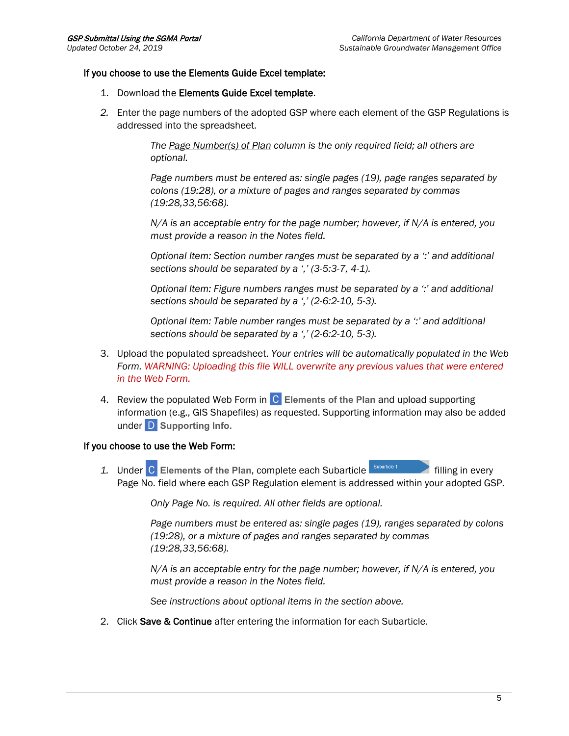#### If you choose to use the Elements Guide Excel template:

- 1. Download the Elements Guide Excel template.
- *2.* Enter the page numbers of the adopted GSP where each element of the GSP Regulations is addressed into the spreadsheet.

*The Page Number(s) of Plan column is the only required field; all others are optional.*

*Page numbers must be entered as: single pages (19), page ranges separated by colons (19:28), or a mixture of pages and ranges separated by commas (19:28,33,56:68).*

*N/A is an acceptable entry for the page number; however, if N/A is entered, you must provide a reason in the Notes field.*

*Optional Item: Section number ranges must be separated by a ':' and additional sections should be separated by a ',' (3-5:3-7, 4-1).*

*Optional Item: Figure numbers ranges must be separated by a ':' and additional sections should be separated by a ',' (2-6:2-10, 5-3).*

*Optional Item: Table number ranges must be separated by a ':' and additional sections should be separated by a ',' (2-6:2-10, 5-3).*

- 3. Upload the populated spreadsheet. *Your entries will be automatically populated in the Web Form. WARNING: Uploading this file WILL overwrite any previous values that were entered in the Web Form.*
- 4. Review the populated Web Form in **C** Elements of the Plan and upload supporting information (e.g., GIS Shapefiles) as requested. Supporting information may also be added under **D** Supporting Info.

#### If you choose to use the Web Form:

1. Under C **Elements of the Plan**, complete each Subarticle **filling** in every Page No. field where each GSP Regulation element is addressed within your adopted GSP.

*Only Page No. is required. All other fields are optional.*

*Page numbers must be entered as: single pages (19), ranges separated by colons (19:28), or a mixture of pages and ranges separated by commas (19:28,33,56:68).*

*N/A is an acceptable entry for the page number; however, if N/A is entered, you must provide a reason in the Notes field.*

*See instructions about optional items in the section above.*

2. Click Save & Continue after entering the information for each Subarticle.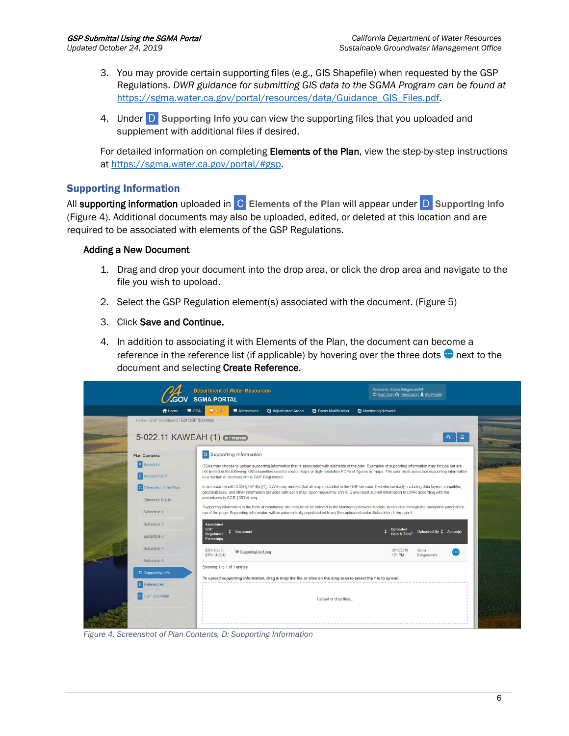- 3. You may provide certain supporting files (e.g., GIS Shapefile) when requested by the GSP Regulations. *DWR guidance for submitting GIS data to the SGMA Program can be found at*  [https://sgma.water.ca.gov/portal/resources/data/Guidance\\_GIS\\_Files.pdf](https://sgma.water.ca.gov/portal/resources/data/Guidance_GIS_Files.pdf)*.*
- 4. Under .D. **Supporting Info** you can view the supporting files that you uploaded and supplement with additional files if desired.

For detailed information on completing Elements of the Plan, view the step-by-step instructions at [https://sgma.water.ca.gov/portal/#gsp.](https://sgma.water.ca.gov/portal/#gsp)

# Supporting Information

All supporting information uploaded in **C.** Elements of the Plan will appear under **D.** Supporting Info (Figure 4). Additional documents may also be uploaded, edited, or deleted at this location and are required to be associated with elements of the GSP Regulations.

### Adding a New Document

- 1. Drag and drop your document into the drop area, or click the drop area and navigate to the file you wish to upoload.
- 2. Select the GSP Regulation element(s) associated with the document. (Figure 5)
- 3. Click Save and Continue.
- 4. In addition to associating it with Elements of the Plan, the document can become a reference in the reference list (if applicable) by hovering over the three dots  $\bullet$  next to the document and selecting Create Reference.

|                                                                               | <b>Department of Water Resources</b><br><b>SGMA PORTAL</b>                                                                                                                                                                                                                                        | Welcome, Sonia Klingensmith!<br>O Sign Out   Ø Feedback   1 My Profile |  |  |  |  |
|-------------------------------------------------------------------------------|---------------------------------------------------------------------------------------------------------------------------------------------------------------------------------------------------------------------------------------------------------------------------------------------------|------------------------------------------------------------------------|--|--|--|--|
| A Home                                                                        | $\equiv$ Alternatives<br>C Adjudicated Areas<br><b>Basin Modification</b><br>$\equiv$ GSP<br>$\equiv$ GSA                                                                                                                                                                                         | C Monitoring Network                                                   |  |  |  |  |
| Home / GSP Dashboard / Edit GSP Submittal<br>5-022.11 KAWEAH (1) (n Progress) |                                                                                                                                                                                                                                                                                                   | Ξ<br>$\alpha$                                                          |  |  |  |  |
| <b>Plan Contents</b>                                                          | <b>D</b> Supporting Information                                                                                                                                                                                                                                                                   |                                                                        |  |  |  |  |
| A Base Info                                                                   | GSAs may choose to upload supporting information that is associated with elements of the plan. Examples of supporting information may include but are                                                                                                                                             |                                                                        |  |  |  |  |
| <b>B</b> Adopted GSP                                                          | not limited to the following: GIS shapefiles used to create maps or high-resolution PDFs of figures or maps. The user must associate supporting information<br>to a section or sections of the GSP Regulations.                                                                                   |                                                                        |  |  |  |  |
| C Elements of the Plan                                                        | In accordance with CCR §352.4(d)(1), DWR may request that all maps included in the GSP be submitted electronically, including data layers, shapefiles,<br>geodatabases, and other information provided with each map. Upon request by DWR, GSAs must submit information to DWR according with the |                                                                        |  |  |  |  |
| Flements Guide                                                                | procedures in CCR §353 et seq.                                                                                                                                                                                                                                                                    |                                                                        |  |  |  |  |
| Subarticle 1                                                                  | Supporting information in the form of monitoring site data must be entered in the Monitoring Network Module, accessible through the navigation panel at the<br>top of the page. Supporting information will be automatically populated with any files uploaded under Subarticles 1 through 4.     |                                                                        |  |  |  |  |
| Subarticle 2                                                                  | <b>Associated</b><br><b>GSP</b>                                                                                                                                                                                                                                                                   |                                                                        |  |  |  |  |
| Subarticle 3                                                                  | <b>Document</b><br><b>Regulation</b><br>Element(s)                                                                                                                                                                                                                                                | Uploaded<br>Date & Time<br>Uploaded By $\frac{4}{7}$ Action(s)         |  |  |  |  |
| Subarticle 4                                                                  | $§354.8(a)(3)$ .<br>SupportingDoc1.png                                                                                                                                                                                                                                                            | 10/16/2019<br>Sonia                                                    |  |  |  |  |
| Subarticle 5                                                                  | \$354.14(d)(4)                                                                                                                                                                                                                                                                                    | 1:21 PM<br>Klingensmith                                                |  |  |  |  |
| D Supporting Info                                                             | Showing 1 to 1 of 1 entries                                                                                                                                                                                                                                                                       |                                                                        |  |  |  |  |
|                                                                               | To upload supporting information, drag & drop the file or click on the drop area to select the file to upload.                                                                                                                                                                                    |                                                                        |  |  |  |  |
| <b>E</b> References                                                           |                                                                                                                                                                                                                                                                                                   |                                                                        |  |  |  |  |
| F<br><b>GSP Submittal</b>                                                     | Upload or drop files                                                                                                                                                                                                                                                                              |                                                                        |  |  |  |  |
|                                                                               |                                                                                                                                                                                                                                                                                                   |                                                                        |  |  |  |  |

*Figure 4. Screenshot of Plan Contents, D: Supporting Information*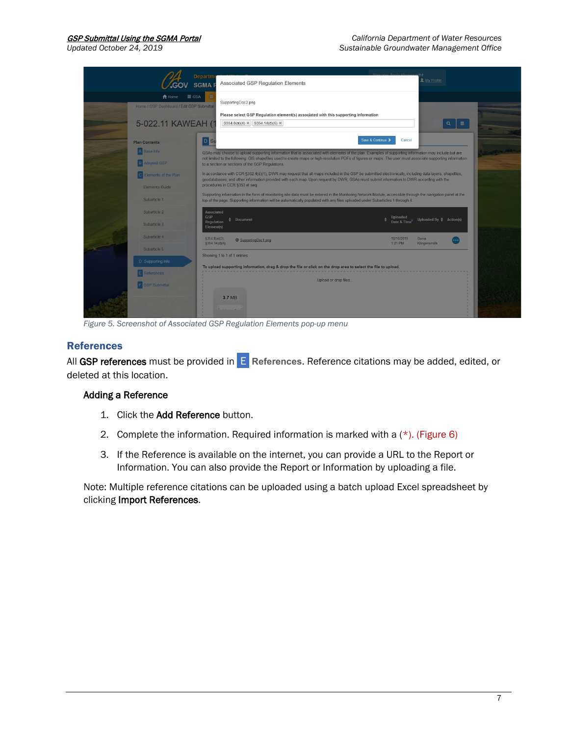

*Figure 5. Screenshot of Associated GSP Regulation Elements pop-up menu*

### References

All GSP references must be provided in **E** References. Reference citations may be added, edited, or deleted at this location.

#### Adding a Reference

- 1. Click the Add Reference button.
- 2. Complete the information. Required information is marked with a  $(*)$ . (Figure 6)
- 3. If the Reference is available on the internet, you can provide a URL to the Report or Information. You can also provide the Report or Information by uploading a file.

Note: Multiple reference citations can be uploaded using a batch upload Excel spreadsheet by clicking Import References.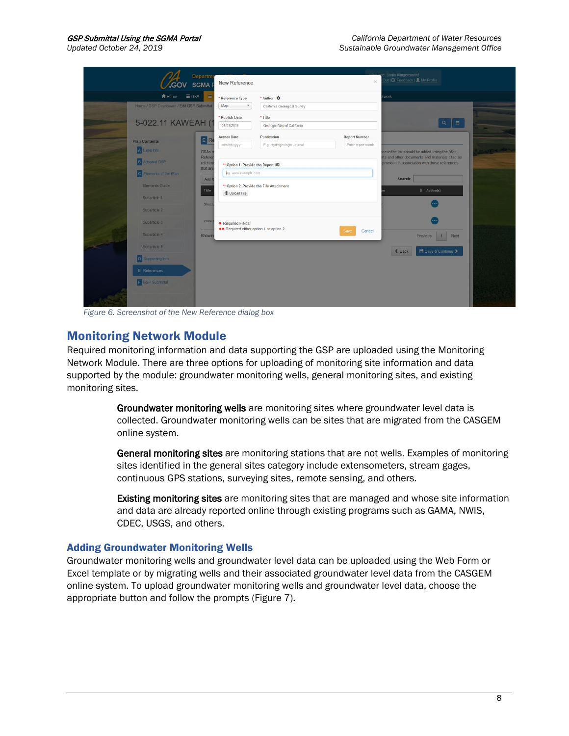| <b>GOV SGMAF</b>                                                           | Departme                          | New Reference                                                |                                                       | $\infty$                                  | Sonia Klingensmith!<br>Out   Ø Feedback   1 My Profile                                           |  |
|----------------------------------------------------------------------------|-----------------------------------|--------------------------------------------------------------|-------------------------------------------------------|-------------------------------------------|--------------------------------------------------------------------------------------------------|--|
| <b>合</b> Home<br>$\equiv$ GSA<br>Home / GSP Dashboard / Edit GSP Submittal | $\equiv$                          | * Reference Type<br>Map<br>$\mathcal{F}$                     | * Author <sup>O</sup><br>California Geological Survey |                                           | <b>stwork</b>                                                                                    |  |
| 5-022.11 KAWEAH (1                                                         |                                   | * Publish Date<br>09/03/2015                                 | * Title<br>Geologic Map of California                 |                                           | $Q_1 \equiv$                                                                                     |  |
| <b>Plan Contents</b><br>A Base Info                                        | <b>E</b> Re<br>GSA <sub>s</sub> r | <b>Access Date</b><br>mm/dd/yyyy                             | Publication<br>E.g. Hydrogeologic Journal             | <b>Report Number</b><br>Enter report numb | ice in the list should be added using the "Add                                                   |  |
| <b>B</b> Adopted GSP                                                       | Referen<br>referen<br>that are    | ** Option 1: Provide the Report URL                          |                                                       |                                           | orts and other documents and materials cited as<br>provided in association with those references |  |
| C Elements of the Plan<br>Elements Guide                                   | Add F<br>Title                    | leg. www.example.com<br><b>O</b> Upload File                 | ** Option 2: Provide the File Attachment              |                                           | Search:<br>$#$ Action(s)                                                                         |  |
| Subarticle 1<br>Subarticle 2                                               | Structi                           |                                                              |                                                       |                                           |                                                                                                  |  |
| Subarticle 3<br>Subarticle 4                                               | Plate                             | * Required Fields<br>** Required either option 1 or option 2 |                                                       | Cancel<br>Save                            |                                                                                                  |  |
| Subarticle 5                                                               | Showin                            |                                                              |                                                       |                                           | Previous 1 Next<br><b>H</b> Save & Continue ><br>$\triangle$ Back                                |  |
| D Supporting Info<br>E References                                          |                                   |                                                              |                                                       |                                           |                                                                                                  |  |
| F GSP Submittal                                                            |                                   |                                                              |                                                       |                                           |                                                                                                  |  |
|                                                                            |                                   |                                                              |                                                       |                                           |                                                                                                  |  |

*Figure 6. Screenshot of the New Reference dialog box*

# Monitoring Network Module

Required monitoring information and data supporting the GSP are uploaded using the Monitoring Network Module. There are three options for uploading of monitoring site information and data supported by the module: groundwater monitoring wells, general monitoring sites, and existing monitoring sites.

> Groundwater monitoring wells are monitoring sites where groundwater level data is collected. Groundwater monitoring wells can be sites that are migrated from the CASGEM online system.

General monitoring sites are monitoring stations that are not wells. Examples of monitoring sites identified in the general sites category include extensometers, stream gages, continuous GPS stations, surveying sites, remote sensing, and others.

Existing monitoring sites are monitoring sites that are managed and whose site information and data are already reported online through existing programs such as GAMA, NWIS, CDEC, USGS, and others.

#### Adding Groundwater Monitoring Wells

Groundwater monitoring wells and groundwater level data can be uploaded using the Web Form or Excel template or by migrating wells and their associated groundwater level data from the CASGEM online system. To upload groundwater monitoring wells and groundwater level data, choose the appropriate button and follow the prompts (Figure 7).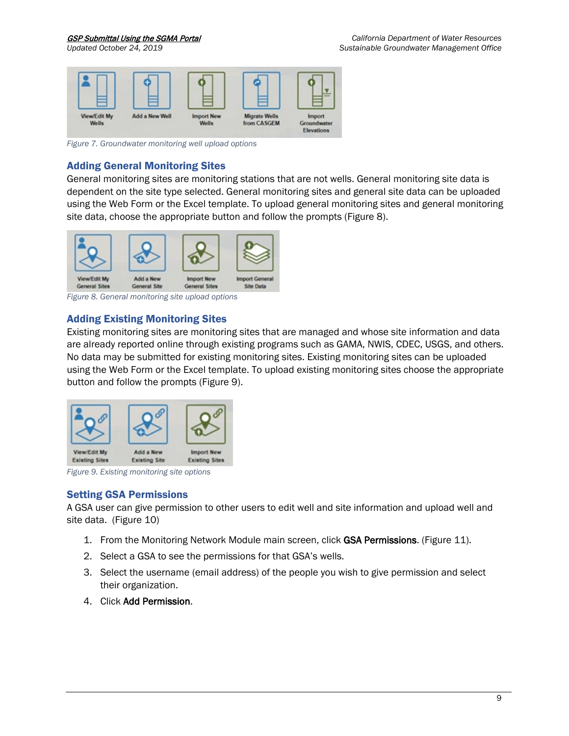

*Figure 7. Groundwater monitoring well upload options*

# Adding General Monitoring Sites

General monitoring sites are monitoring stations that are not wells. General monitoring site data is dependent on the site type selected. General monitoring sites and general site data can be uploaded using the Web Form or the Excel template. To upload general monitoring sites and general monitoring site data, choose the appropriate button and follow the prompts (Figure 8).



*Figure 8. General monitoring site upload options*

# Adding Existing Monitoring Sites

Existing monitoring sites are monitoring sites that are managed and whose site information and data are already reported online through existing programs such as GAMA, NWIS, CDEC, USGS, and others. No data may be submitted for existing monitoring sites. Existing monitoring sites can be uploaded using the Web Form or the Excel template. To upload existing monitoring sites choose the appropriate button and follow the prompts (Figure 9).



*Figure 9. Existing monitoring site options*

# Setting GSA Permissions

A GSA user can give permission to other users to edit well and site information and upload well and site data. (Figure 10)

- 1. From the Monitoring Network Module main screen, click GSA Permissions. (Figure 11).
- 2. Select a GSA to see the permissions for that GSA's wells.
- 3. Select the username (email address) of the people you wish to give permission and select their organization.
- 4. Click Add Permission.